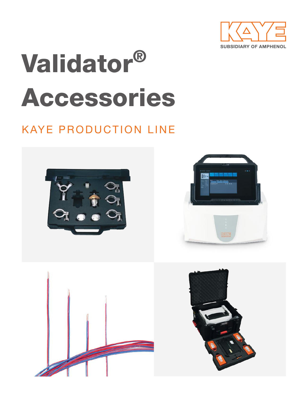

# Validator® Accessories

# KAYE PRODUCTION LINE







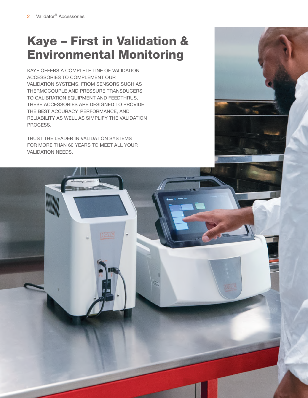# Kaye – First in Validation & Environmental Monitoring

KAYE OFFERS A COMPLETE LINE OF VALIDATION ACCESSORIES TO COMPLEMENT OUR VALIDATION SYSTEMS. FROM SENSORS SUCH AS THERMOCOUPLE AND PRESSURE TRANSDUCERS TO CALIBRATION EQUIPMENT AND FEEDTHRUS, THESE ACCESSORIES ARE DESIGNED TO PROVIDE THE BEST ACCURACY, PERFORMANCE, AND RELIABILITY AS WELL AS SIMPLIFY THE VALIDATION PROCESS.

TRUST THE LEADER IN VALIDATION SYSTEMS FOR MORE THAN 60 YEARS TO MEET ALL YOUR VALIDATION NEEDS.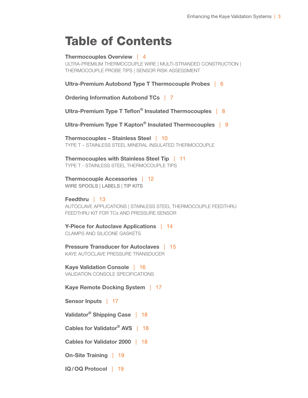# Table of Contents

Thermocouples Overview | 4 ULTRA-PREMIUM THERMOCOUPLE WIRE | MULTI-STRANDED CONSTRUCTION | THERMOCOUPLE PROBE TIPS | SENSOR RISK ASSESSMENT

Ultra-Premium Autobond Type T Thermocouple Probes | 6

Ordering Information Autobond TCs | 7

Ultra-Premium Type T Teflon<sup>®</sup> Insulated Thermocouples | 8

Ultra-Premium Type T Kapton<sup>®</sup> Insulated Thermocouples | 9

Thermocouples – Stainless Steel | 10 TYPE T – STAINLESS STEEL MINERAL INSULATED THERMOCOUPLE

Thermocouples with Stainless Steel Tip | 11 TYPE T - STAINLESS STEEL THERMOCOUPLE TIPS

Thermocouple Accessories | 12 WIRE SPOOLS | LABELS | TIP KITS

Feedthru | 13 AUTOCLAVE APPLICATIONS | STAINLESS STEEL THERMOCOUPLE FEEDTHRU FEEDTHRU KIT FOR TCs AND PRESSURE SENSOR

Y-Piece for Autoclave Applications | 14 CLAMPS AND SILICONE GASKETS

Pressure Transducer for Autoclaves | 15 KAYE AUTOCLAVE PRESSURE TRANSDUCER

Kaye Validation Console | 16 VALIDATION CONSOLE SPECIFICATIONS

Kaye Remote Docking System | 17

Sensor Inputs | 17

Validator® Shipping Case | 18

Cables for Validator® AVS | 18

Cables for Validator 2000 | 18

On-Site Training | 19

IQ/OQ Protocol | 19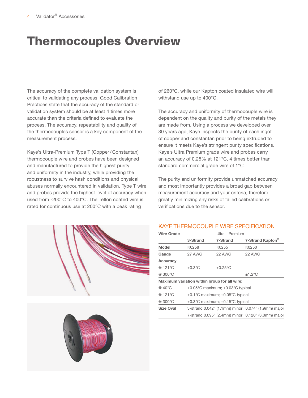# Thermocouples Overview

The accuracy of the complete validation system is critical to validating any process. Good Calibration Practices state that the accuracy of the standard or validation system should be at least 4 times more accurate than the criteria defined to evaluate the process. The accuracy, repeatability and quality of the thermocouples sensor is a key component of the measurement process.

Kaye's Ultra-Premium Type T (Copper/ Constantan) thermocouple wire and probes have been designed and manufactured to provide the highest purity and uniformity in the industry, while providing the robustness to survive hash conditions and physical abuses normally encountered in validation. Type T wire and probes provide the highest level of accuracy when used from -200°C to 400°C. The Teflon coated wire is rated for continuous use at 200°C with a peak rating

of 260°C, while our Kapton coated insulated wire will withstand use up to 400°C.

The accuracy and uniformity of thermocouple wire is dependent on the quality and purity of the metals they are made from. Using a process we developed over 30 years ago, Kaye inspects the purity of each ingot of copper and constantan prior to being extruded to ensure it meets Kaye's stringent purity specifications. Kaye's Ultra Premium grade wire and probes carry an accuracy of 0.25% at 121°C, 4 times better than standard commercial grade wire of 1°C.

The purity and uniformity provide unmatched accuracy and most importantly provides a broad gap between measurement accuracy and your criteria, therefore greatly minimizing any risks of failed calibrations or verifications due to the sensor.



# KAYE THERMOCOUPLE WIRE SPECIFICATION

| <b>Wire Grade</b> | Ultra – Premium |                                              |                                                      |
|-------------------|-----------------|----------------------------------------------|------------------------------------------------------|
|                   | 3-Strand        | 7-Strand                                     | 7-Strand Kapton <sup>®</sup>                         |
| <b>Model</b>      | K0258           | K0255                                        | K0250                                                |
| Gauge             | 27 AWG          | 22 AWG                                       | 22 AWG                                               |
| <b>Accuracy</b>   |                 |                                              |                                                      |
| @ 121°C           | $\pm 0.3$ °C    | $\pm 0.25$ °C                                |                                                      |
| @ 300°C           |                 |                                              | ±1.2°C                                               |
|                   |                 | Maximum variation within group for all wire: |                                                      |
| @ 40°C            |                 | ±0.05°C maximum; ±0.03°C typical             |                                                      |
| @ 121°C           |                 | ±0.1°C maximum; ±0.05°C typical              |                                                      |
| @ 300°C           |                 | ±0.3°C maximum; ±0.15°C typical              |                                                      |
| <b>Size Oval</b>  |                 |                                              | 3-strand 0.042" (1.1mm) minor   0.074" (1.9mm) major |
|                   |                 |                                              | 7-strand 0.095" (2.4mm) minor   0.120" (3.0mm) major |
|                   |                 |                                              |                                                      |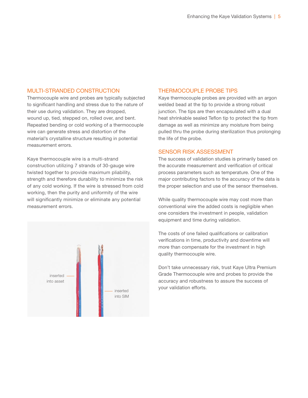### MULTI-STRANDED CONSTRUCTION

Thermocouple wire and probes are typically subjected to significant handling and stress due to the nature of their use during validation. They are dropped, wound up, tied, stepped on, rolled over, and bent. Repeated bending or cold working of a thermocouple wire can generate stress and distortion of the material's crystalline structure resulting in potential measurement errors.

Kaye thermocouple wire is a multi-strand construction utilizing 7 strands of 30-gauge wire twisted together to provide maximum pliability, strength and therefore durability to minimize the risk of any cold working. If the wire is stressed from cold working, then the purity and uniformity of the wire will significantly minimize or eliminate any potential measurement errors.



# THERMOCOUPLE PROBE TIPS

Kaye thermocouple probes are provided with an argon welded bead at the tip to provide a strong robust junction. The tips are then encapsulated with a dual heat shrinkable sealed Teflon tip to protect the tip from damage as well as minimize any moisture from being pulled thru the probe during sterilization thus prolonging the life of the probe.

### SENSOR RISK ASSESSMENT

The success of validation studies is primarily based on the accurate measurement and verification of critical process parameters such as temperature. One of the major contributing factors to the accuracy of the data is the proper selection and use of the sensor themselves.

While quality thermocouple wire may cost more than conventional wire the added costs is negligible when one considers the investment in people, validation equipment and time during validation.

The costs of one failed qualifications or calibration verifications in time, productivity and downtime will more than compensate for the investment in high quality thermocouple wire.

Don't take unnecessary risk, trust Kaye Ultra Premium Grade Thermocouple wire and probes to provide the accuracy and robustness to assure the success of your validation efforts. inserted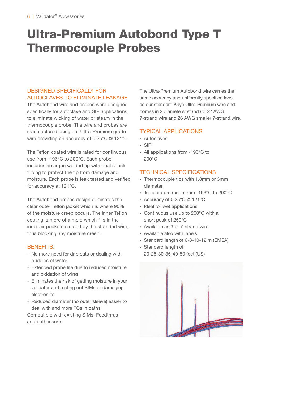# Ultra-Premium Autobond Type T Thermocouple Probes

# DESIGNED SPECIFICALLY FOR AUTOCLAVES TO ELIMINATE LEAKAGE

The Autobond wire and probes were designed specifically for autoclave and SIP applications, to eliminate wicking of water or steam in the thermocouple probe. The wire and probes are manufactured using our Ultra-Premium grade wire providing an accuracy of 0.25°C @ 121°C.

The Teflon coated wire is rated for continuous use from -196°C to 200°C. Each probe includes an argon welded tip with dual shrink tubing to protect the tip from damage and moisture. Each probe is leak tested and verified for accuracy at 121°C.

The Autobond probes design eliminates the clear outer Teflon jacket which is where 90% of the moisture creep occurs. The inner Teflon coating is more of a mold which fills in the inner air pockets created by the stranded wire, thus blocking any moisture creep.

# BENEFITS:

- ∙ No more need for drip cuts or dealing with puddles of water
- ∙ Extended probe life due to reduced moisture and oxidation of wires
- ∙ Eliminates the risk of getting moisture in your validator and rusting out SIMs or damaging electronics
- ∙ Reduced diameter (no outer sleeve) easier to deal with and more TCs in baths

Compatible with existing SIMs, Feedthrus and bath inserts

The Ultra-Premium Autobond wire carries the same accuracy and uniformity specifications as our standard Kaye Ultra-Premium wire and comes in 2 diameters; standard 22 AWG 7-strand wire and 26 AWG smaller 7-strand wire.

# TYPICAL APPLICATIONS

- ∙ Autoclaves
- ∙ SIP
- ∙ All applications from -196°C to 200°C

# TECHNICAL SPECIFICATIONS

- ∙ Thermocouple tips with 1.8mm or 3mm diameter
- ∙ Temperature range from -196°C to 200°C
- ∙ Accuracy of 0.25°C @ 121°C
- ∙ Ideal for wet applications
- ∙ Continuous use up to 200°C with a short peak of 250°C
- ∙ Available as 3 or 7-strand wire
- ∙ Available also with labels
- ∙ Standard length of 6-8-10-12 m (EMEA)
- ∙ Standard length of
	- 20-25-30-35-40-50 feet (US)

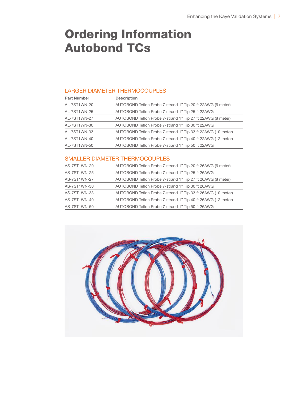# Ordering Information Autobond TCs

### LARGER DIAMETER THERMOCOUPLES

| <b>Part Number</b> | <b>Description</b>                                           |
|--------------------|--------------------------------------------------------------|
| AL-7ST1WN-20       | AUTOBOND Teflon Probe 7-strand 1" Tip 20 ft 22AWG (6 meter)  |
| AL-7ST1WN-25       | AUTOBOND Teflon Probe 7-strand 1" Tip 25 ft 22AWG            |
| AL-7ST1WN-27       | AUTOBOND Teflon Probe 7-strand 1" Tip 27 ft 22AWG (8 meter)  |
| AL-7ST1WN-30       | AUTOBOND Teflon Probe 7-strand 1" Tip 30 ft 22AWG            |
| AL-7ST1WN-33       | AUTOBOND Teflon Probe 7-strand 1" Tip 33 ft 22AWG (10 meter) |
| AL-7ST1WN-40       | AUTOBOND Teflon Probe 7-strand 1" Tip 40 ft 22AWG (12 meter) |
| AL-7ST1WN-50       | AUTOBOND Teflon Probe 7-strand 1" Tip 50 ft 22AWG            |

# SMALLER DIAMETER THERMOCOUPLES

| AS-7ST1WN-20 | AUTOBOND Teflon Probe 7-strand 1" Tip 20 ft 26AWG (6 meter)  |
|--------------|--------------------------------------------------------------|
| AS-7ST1WN-25 | AUTOBOND Teflon Probe 7-strand 1" Tip 25 ft 26AWG            |
| AS-7ST1WN-27 | AUTOBOND Teflon Probe 7-strand 1" Tip 27 ft 26AWG (8 meter)  |
| AS-7ST1WN-30 | AUTOBOND Teflon Probe 7-strand 1" Tip 30 ft 26AWG            |
| AS-7ST1WN-33 | AUTOBOND Teflon Probe 7-strand 1" Tip 33 ft 26AWG (10 meter) |
| AS-7ST1WN-40 | AUTOBOND Teflon Probe 7-strand 1" Tip 40 ft 26AWG (12 meter) |
| AS-7ST1WN-50 | AUTOBOND Teflon Probe 7-strand 1" Tip 50 ft 26AWG            |
|              |                                                              |

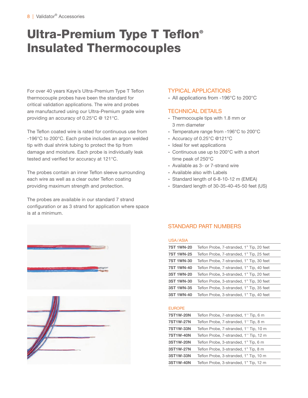# Ultra-Premium Type T Teflon® Insulated Thermocouples

For over 40 years Kaye's Ultra-Premium Type T Teflon thermocouple probes have been the standard for critical validation applications. The wire and probes are manufactured using our Ultra-Premium grade wire providing an accuracy of 0.25°C @ 121°C.

The Teflon coated wire is rated for continuous use from -196°C to 200°C. Each probe includes an argon welded tip with dual shrink tubing to protect the tip from damage and moisture. Each probe is individually leak tested and verified for accuracy at 121°C.

The probes contain an inner Teflon sleeve surrounding each wire as well as a clear outer Teflon coating providing maximum strength and protection.

The probes are available in our standard 7 strand configuration or as 3 strand for application where space is at a minimum.





### TYPICAL APPLICATIONS

∙ All applications from -196°C to 200°C

# TECHNICAL DETAILS

- ∙ Thermocouple tips with 1.8 mm or 3 mm diameter
- ∙ Temperature range from -196°C to 200°C
- ∙ Accuracy of 0.25°C @121°C
- ∙ Ideal for wet applications
- ∙ Continuous use up to 200°C with a short time peak of 250°C
- ∙ Available as 3- or 7-strand wire
- ∙ Available also with Labels
- ∙ Standard length of 6-8-10-12 m (EMEA)
- ∙ Standard length of 30-35-40-45-50 feet (US)

# STANDARD PART NUMBERS

### USA/ASIA

| <b>7ST 1WN-20</b> | Teflon Probe, 7-stranded, 1" Tip, 20 feet |
|-------------------|-------------------------------------------|
| <b>7ST 1WN-25</b> | Teflon Probe, 7-stranded, 1" Tip, 25 feet |
| <b>7ST 1WN-30</b> | Teflon Probe, 7-stranded, 1" Tip, 30 feet |
| <b>7ST 1WN-40</b> | Teflon Probe, 7-stranded, 1" Tip, 40 feet |
| 3ST 1WN-20        | Teflon Probe, 3-stranded, 1" Tip, 20 feet |
| 3ST 1WN-30        | Teflon Probe, 3-stranded, 1" Tip, 30 feet |
| 3ST 1WN-35        | Teflon Probe, 3-stranded, 1" Tip, 35 feet |
| 3ST 1WN-40        | Teflon Probe, 3-stranded, 1" Tip, 40 feet |

#### EUROPE

| <b>7ST1W-20N</b> | Teflon Probe, 7-stranded, 1" Tip, 6 m  |
|------------------|----------------------------------------|
| 7ST1W-27N        | Teflon Probe, 7-stranded, 1" Tip, 8 m  |
| <b>7ST1W-33N</b> | Teflon Probe, 7-stranded, 1" Tip, 10 m |
| <b>7ST1W-40N</b> | Teflon Probe, 7-stranded, 1" Tip, 12 m |
| 3ST1W-20N        | Teflon Probe, 3-stranded, 1" Tip, 6 m  |
| 3ST1W-27N        | Teflon Probe, 3-stranded, 1" Tip, 8 m  |
| 3ST1W-33N        | Teflon Probe, 3-stranded, 1" Tip, 10 m |
| 3ST1W-40N        | Teflon Probe, 3-stranded, 1" Tip, 12 m |
|                  |                                        |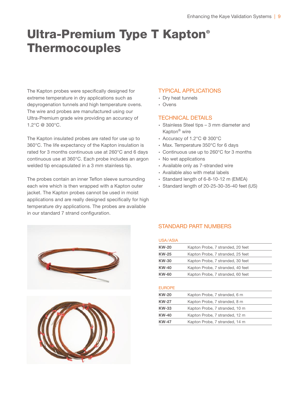# Ultra-Premium Type T Kapton® **Thermocouples**

The Kapton probes were specifically designed for extreme temperature in dry applications such as depyrogenation tunnels and high temperature ovens. The wire and probes are manufactured using our Ultra-Premium grade wire providing an accuracy of 1.2°C @ 300°C.

The Kapton insulated probes are rated for use up to 360°C. The life expectancy of the Kapton insulation is rated for 3 months continuous use at 260°C and 6 days continuous use at 360°C. Each probe includes an argon welded tip encapsulated in a 3 mm stainless tip.

The probes contain an inner Teflon sleeve surrounding each wire which is then wrapped with a Kapton outer jacket. The Kapton probes cannot be used in moist applications and are really designed specifically for high temperature dry applications. The probes are available in our standard 7 strand configuration.





### TYPICAL APPLICATIONS

- ∙ Dry heat tunnels
- ∙ Ovens

### TECHNICAL DETAILS

- ∙ Stainless Steel tips 3 mm diameter and Kapton® wire
- ∙ Accuracy of 1.2°C @ 300°C
- ∙ Max. Temperature 350°C for 6 days
- ∙ Continuous use up to 260°C for 3 months
- ∙ No wet applications
- ∙ Available only as 7-stranded wire
- ∙ Available also with metal labels
- ∙ Standard length of 6-8-10-12 m (EMEA)
- ∙ Standard length of 20-25-30-35-40 feet (US)

# STANDARD PART NUMBERS

### USA/ASIA

| <b>KW-20</b> | Kapton Probe, 7 stranded, 20 feet |
|--------------|-----------------------------------|
| <b>KW-25</b> | Kapton Probe, 7 stranded, 25 feet |
| <b>KW-30</b> | Kapton Probe, 7 stranded, 30 feet |
| <b>KW-40</b> | Kapton Probe, 7 stranded, 40 feet |
| <b>KW-60</b> | Kapton Probe, 7 stranded, 60 feet |

#### EUROPE

| <b>KW-20</b> | Kapton Probe, 7 stranded, 6 m  |
|--------------|--------------------------------|
| <b>KW-27</b> | Kapton Probe, 7 stranded, 8 m  |
| <b>KW-33</b> | Kapton Probe, 7 stranded, 10 m |
| <b>KW-40</b> | Kapton Probe, 7 stranded, 12 m |
| <b>KW-47</b> | Kapton Probe, 7 stranded, 14 m |
|              |                                |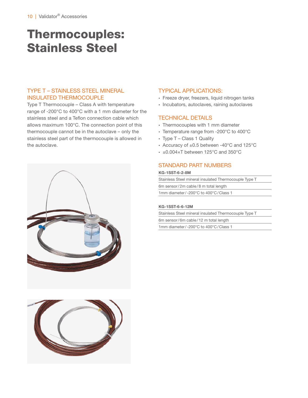# Thermocouples: Stainless Steel

# TYPE T – STAINLESS STEEL MINERAL INSULATED THERMOCOUPLE

Type T Thermocouple – Class A with temperature range of -200°C to 400°C with a 1 mm diameter for the stainless steel and a Teflon connection cable which allows maximum 100°C. The connection point of this thermocouple cannot be in the autoclave – only the stainless steel part of the thermocouple is allowed in the autoclave.





# TYPICAL APPLICATIONS:

- ∙ Freeze dryer, freezers, liquid nitrogen tanks
- ∙ Incubators, autoclaves, raining autoclaves

### TECHNICAL DETAILS

- ∙ Thermocouples with 1 mm diameter
- ∙ Temperature range from -200°C to 400°C
- ∙ Type T Class 1 Quality
- ∙ Accuracy of ±0.5 between -40°C and 125°C
- ∙ ±0.004×T between 125°C and 350°C

### STANDARD PART NUMBERS

#### KG-1SST-6-2-8M

Stainless Steel mineral insulated Thermocouple Type T 6m sensor/2m cable/8 m total length 1mm diameter/-200°C to 400°C/Class 1

#### KG-1SST-6-6-12M

Stainless Steel mineral insulated Thermocouple Type T 6m sensor/6m cable/12 m total length

1mm diameter/-200°C to 400°C/Class 1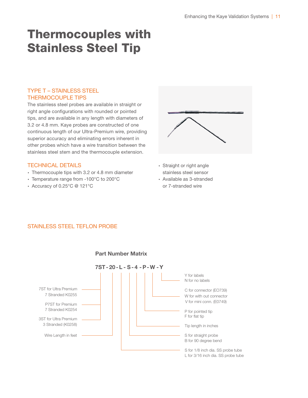# Thermocouples with Stainless Steel Tip

# TYPE T – STAINLESS STEEL THERMOCOUPLE TIPS

The stainless steel probes are available in straight or right angle configurations with rounded or pointed tips, and are available in any length with diameters of 3.2 or 4.8 mm. Kaye probes are constructed of one continuous length of our Ultra-Premium wire, providing superior accuracy and eliminating errors inherent in other probes which have a wire transition between the stainless steel stem and the thermocouple extension.

# TECHNICAL DETAILS

- ∙ Thermocouple tips with 3.2 or 4.8 mm diameter
- ∙ Temperature range from -100°C to 200°C
- ∙ Accuracy of 0.25°C @ 121°C



- ∙ Straight or right angle stainless steel sensor
- ∙ Available as 3-stranded or 7-stranded wire

# STAINLESS STEEL TEFLON PROBE



#### Part Number Matrix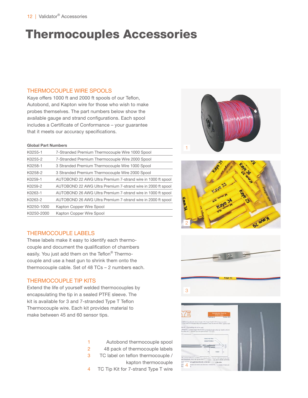# Thermocouples Accessories

### THERMOCOUPLE WIRE SPOOLS

Kaye offers 1000 ft and 2000 ft spools of our Teflon, Autobond, and Kapton wire for those who wish to make probes themselves. The part numbers below show the available gauge and strand configurations. Each spool includes a Certificate of Conformance – your guarantee that it meets our accuracy specifications.

#### Global Part Numbers

| K0255-1    | 7-Stranded Premium Thermocouple Wire 1000 Spool              |
|------------|--------------------------------------------------------------|
| K0255-2    | 7-Stranded Premium Thermocouple Wire 2000 Spool              |
| K0258-1    | 3 Stranded Premium Thermocouple Wire 1000 Spool              |
| K0258-2    | 3 Stranded Premium Thermocouple Wire 2000 Spool              |
| K0259-1    | AUTOBOND 22 AWG Ultra Premium 7-strand wire in 1000 ft spool |
| K0259-2    | AUTOBOND 22 AWG Ultra Premium 7-strand wire in 2000 ft spool |
| K0263-1    | AUTOBOND 26 AWG Ultra Premium 7-strand wire in 1000 ft spool |
| K0263-2    | AUTOBOND 26 AWG Ultra Premium 7-strand wire in 2000 ft spool |
| K0250-1000 | Kapton Copper Wire Spool                                     |
| K0250-2000 | Kapton Copper Wire Spool                                     |

# THERMOCOUPLE LABELS

These labels make it easy to identify each thermocouple and document the qualification of chambers easily. You just add them on the Teflon® Thermocouple and use a heat gun to shrink them onto the thermocouple cable. Set of 48 TCs – 2 numbers each.

# THERMOCOUPLE TIP KITS

Extend the life of yourself welded thermocouples by encapsulating the tip in a sealed PTFE sleeve. The kit is available for 3 and 7-stranded Type T Teflon Thermocouple wire. Each kit provides material to make between 45 and 60 sensor tips.

- 1 Autobond thermocouple spool 2 48 pack of thermocouple labels
- 3 TC label on teflon thermocouple /
	- kapton thermocouple
- 4 TC Tip Kit for 7-strand Type T wire







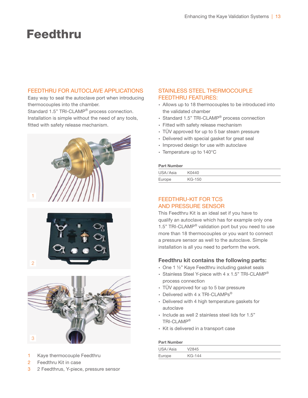# Feedthru

# FEEDTHRU FOR AUTOCLAVE APPLICATIONS

Easy way to seal the autoclave port when introducing thermocouples into the chamber. Standard 1.5" TRI-CLAMP® process connection. Installation is simple without the need of any tools, fitted with safety release mechanism.







- 1 Kaye thermocouple Feedthru
- 2 Feedthru Kit in case

#### 3 2 Feedthrus, Y-piece, pressure sensor

# STAINLESS STEEL THERMOCOUPLE FEEDTHRU FEATURES:

- ∙ Allows up to 18 thermocouples to be introduced into the validated chamber
- ∙ Standard 1.5" TRI-CLAMP® process connection
- ∙ Fitted with safety release mechanism
- ∙ TÜV approved for up to 5 bar steam pressure
- ∙ Delivered with special gasket for great seal
- ∙ Improved design for use with autoclave
- ∙ Temperature up to 140°C

#### Part Number

| USA/Asia | K0440  |
|----------|--------|
| Europe   | KG-150 |

# FEEDTHRU-KIT FOR TCS AND PRESSURE SENSOR

This Feedthru Kit is an ideal set if you have to qualify an autoclave which has for example only one 1.5" TRI-CLAMP<sup>®</sup> validation port but you need to use more than 18 thermocouples or you want to connect a pressure sensor as well to the autoclave. Simple installation is all you need to perform the work.

# Feedthru kit contains the following parts:

- ∙ One 1 ½" Kaye Feedthru including gasket seals
- ∙ Stainless Steel Y-piece with 4 x 1.5" TRI-CLAMP® process connection
- ∙ TÜV approved for up to 5 bar pressure
- ∙ Delivered with 4 x TRI-CLAMPs®
- ∙ Delivered with 4 high temperature gaskets for autoclave
- ∙ Include as well 2 stainless steel lids for 1.5" TRI-CLAMP®
- ∙ Kit is delivered in a transport case

#### Part Number

| USA/Asia | V2845  |
|----------|--------|
| Europe   | KG-144 |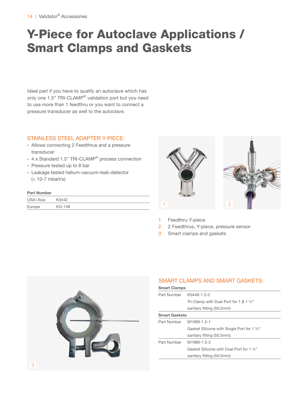# Y-Piece for Autoclave Applications / Smart Clamps and Gaskets

Ideal part if you have to qualify an autoclave which has only one 1.5" TRI-CLAMP® validation port but you need to use more than 1 feedthru or you want to connect a pressure transducer as well to the autoclave.

# STAINLESS STEEL ADAPTER Y-PIECE:

- ∙ Allows connecting 2 Feedthrus and a pressure transducer
- ∙ 4 x Standard 1.5" TRI-CLAMP® process connection
- ∙ Pressure tested up to 8 bar
- ∙ Leakage tested helium-vacuum-leak-detector (< 10-7 mbarl/s)

#### Part Number

| USA/Asia | K0442  |
|----------|--------|
| Europe   | KG-148 |



- Feedthru Y-piece
- 2 2 Feedthrus, Y-piece, pressure sensor
- 3 Smart clamps and gaskets



# SMART CLAMPS AND SMART GASKETS:

| <b>Smart Clamps</b>  |                                                    |
|----------------------|----------------------------------------------------|
|                      | Part Number K0448-1.5-2                            |
|                      | Tri-Clamp with Dual Port for 1 & 1 $\frac{1}{2}$ " |
|                      | sanitary fitting (50.5mm)                          |
| <b>Smart Gaskets</b> |                                                    |
|                      | Part Number M1989-1.5-1                            |
|                      | Gasket Silicone with Single Port for 1 1/2"        |
|                      | sanitary fitting (50.5mm)                          |
| Part Number          | M1989-1.5-2                                        |
|                      | Gasket Silicone with Dual Port for 1 1/2"          |
|                      | sanitary fitting (50.5mm)                          |
|                      |                                                    |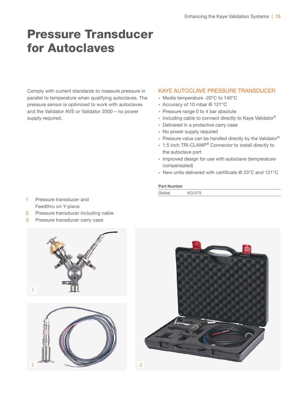# Pressure Transducer for Autoclaves

Comply with current standards to measure pressure in parallel to temperature when qualifying autoclaves. The pressure sensor is optimized to work with autoclaves and the Validator AVS or Validator 2000 – no power supply required.

### KAYE AUTOCLAVE PRESSURE TRANSDUCER

- ∙ Media temperature -20°C to 140°C
- ∙ Accuracy of 10 mbar @ 121°C
- ∙ Pressure range 0 to 4 bar absolute
- ∙ Including cable to connect directly to Kaye Validator®
- ∙ Delivered in a protective carry case
- ∙ No power supply required
- ∙ Pressure value can be handled directly by the Validator®
- ∙ 1.5 inch TRI-CLAMP® Connector to install directly to the autoclave port
- ∙ Improved design for use with autoclave (temperaturecompensated)
- ∙ New units delivered with certificate @ 23°C and 121°C

### Part Number

| Global | <b>KG-075</b> |
|--------|---------------|
|        |               |

- 1 Pressure transducer and Feedthru on Y-piece
- 2 Pressure transducer including cable
- 3 Pressure transducer carry case





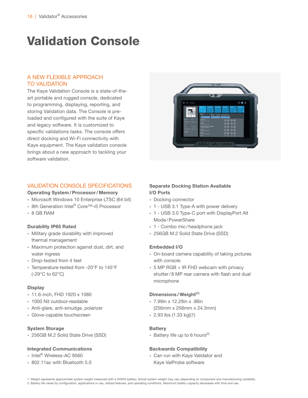# Validation Console

# A NEW FLEXIBLE APPROACH TO VALIDATION

The Kaye Validation Console is a state-of-theart portable and rugged console, dedicated to programming, displaying, reporting, and storing Validation data. The Console is preloaded and configured with the suite of Kaye and legacy software. It is customized to specific validations tasks. The console offers direct docking and Wi-Fi connectivity with Kaye equipment. The Kaye validation console brings about a new approach to tackling your software validation.

# VALIDATION CONSOLE SPECIFICATIONS

#### Operating System/Processor/Memory

- ∙ Microsoft Windows 10 Enterprise LTSC (64 bit)
- ∙ 8th Generation Intel® Core™-i5 Processor
- ∙ 8 GB RAM

#### Durability IP65 Rated

- ∙ Military grade durability with improved thermal management
- ∙ Maximum protection against dust, dirt, and water ingress
- ∙ Drop-tested from 4 feet
- ∙ Temperature-tested from -20°F to 145°F (-29°C to 62°C)

#### **Display**

- ∙ 11.6-inch, FHD 1920 x 1080
- ∙ 1000 Nit outdoor-readable
- ∙ Anti-glare, anti-smudge, polarizer
- ∙ Glove-capable touchscreen

#### System Storage

∙ 256GB M.2 Solid State Drive (SSD)

#### Integrated Communications

- ∙ Intel® Wireless-AC 9560
- ∙ 802.11ac with Bluetooth 5.0



# Separate Docking Station Available I/O Ports

- ∙ Docking connector
- ∙ 1 USB 3.1 Type-A with power delivery
- ∙ 1 USB 3.0 Type-C port with DisplayPort Alt Mode/PowerShare
- ∙ 1 Combo mic/headphone jack
- ∙ 256GB M.2 Solid State Drive (SSD)

#### Embedded I/O

- ∙ On-board camera capability of taking pictures with console
- ∙ 5 MP RGB + IR FHD webcam with privacy shutter/8 MP rear camera with flash and dual microphone

#### Dimensions / Weight<sup>(1)</sup>

- ∙ 7.99in x 12.29in x .96in (256mm x 256mm x 24.3mm)
- ∙ 2.93 lbs (1.33 kg)(1)

#### **Battery**

∙ Battery life up to 6 hours(2)

#### Backwards Compatibility

- ∙ Can run with Kaye Validator and Kaye ValProbe software
- 1. Weight represents approximate system weight measured with a 34WHr battery. Actual system weight may vary depending on component and manufacturing variability. 2. Battery life varies by configuration, applications in use, utilized features, and operating conditions. Maximum battery capacity decreases with time and use.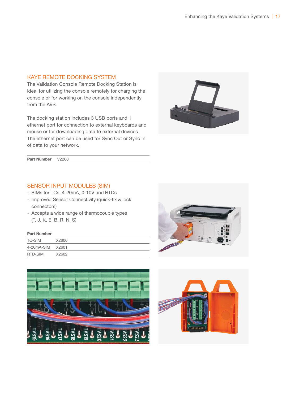### KAYE REMOTE DOCKING SYSTEM

The Validation Console Remote Docking Station is ideal for utilizing the console remotely for charging the console or for working on the console independently from the AVS.

The docking station includes 3 USB ports and 1 ethernet port for connection to external keyboards and mouse or for downloading data to external devices. The ethernet port can be used for Sync Out or Sync In of data to your network.



Part Number V2260

# SENSOR INPUT MODULES (SIM)

- ∙ SIMs for TCs, 4-20mA, 0-10V and RTDs
- ∙ Improved Sensor Connectivity (quick-fix & lock connectors)
- ∙ Accepts a wide range of thermocouple types (T, J, K, E, B, R, N, S)

#### Part Number

| TC-SIM     | X2600 |
|------------|-------|
| 4-20mA-SIM | X2601 |
| RTD-SIM    | X2602 |





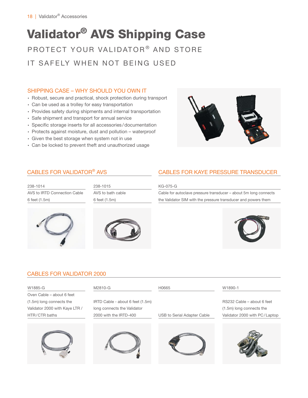# PROTECT YOUR VALIDATOR<sup>®</sup> AND STORE Validator® AVS Shipping Case

IT SAFELY WHEN NOT BEING USED

# SHIPPING CASE – WHY SHOULD YOU OWN IT

- ∙ Robust, secure and practical, shock protection during transport
- ∙ Can be used as a trolley for easy transportation
- ∙ Provides safety during shipments and internal transportation
- ∙ Safe shipment and transport for annual service
- ∙ Specific storage inserts for all accessories/documentation
- ∙ Protects against moisture, dust and pollution waterproof
- ∙ Given the best storage when system not in use
- ∙ Can be locked to prevent theft and unauthorized usage



# CABLES FOR VALIDATOR® AVS

| 238-1014                     |  |  |
|------------------------------|--|--|
| AVS to IRTD Connection Cable |  |  |
| 6 feet (1.5m)                |  |  |







# CABLES FOR KAYE PRESSURE TRANSDUCER

#### KG-075-G

Cable for autoclave pressure transducer – about 5m long connects the Validator SIM with the pressure transducer and powers them



# CABLES FOR VALIDATOR 2000

| W1885-G                        | M2810-G                          | H0665                       | W1890-1                       |
|--------------------------------|----------------------------------|-----------------------------|-------------------------------|
| Oven Cable - about 6 feet      |                                  |                             |                               |
| (1.5m) long connects the       | IRTD Cable - about 6 feet (1.5m) |                             | RS232 Cable - about 6 feet    |
| Validator 2000 with Kaye LTR / | long connects the Validator      |                             | (1.5m) long connects the      |
| HTR/CTR baths                  | 2000 with the IRTD-400           | USB to Serial Adapter Cable | Validator 2000 with PC/Laptop |
|                                |                                  |                             |                               |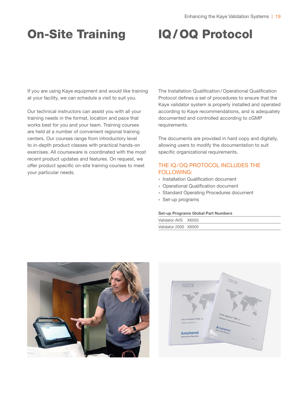# On-Site Training IQ/OQ Protocol

If you are using Kaye equipment and would like training at your facility, we can schedule a visit to suit you.

Our technical instructors can assist you with all your training needs in the format, location and pace that works best for you and your team. Training courses are held at a number of convenient regional training centers. Our courses range from introductory level to in-depth product classes with practical hands-on exercises. All courseware is coordinated with the most recent product updates and features. On request, we offer product specific on-site training courses to meet your particular needs.

The Installation Qualification /Operational Qualification Protocol defines a set of procedures to ensure that the Kaye validator system is properly installed and operated according to Kaye recommendations, and is adequately documented and controlled according to cGMP requirements.

The documents are provided in hard copy and digitally, allowing users to modify the documentation to suit specific organizational requirements.

# THE IQ/OQ PROTOCOL INCLUDES THE FOLLOWING:

- ∙ Installation Qualification document
- ∙ Operational Qualification document
- ∙ Standard Operating Procedures document
- ∙ Set-up programs

#### Set-up Programs Global Part Numbers

| Validator AVS X6055  |  |
|----------------------|--|
| Validator 2000 X6005 |  |